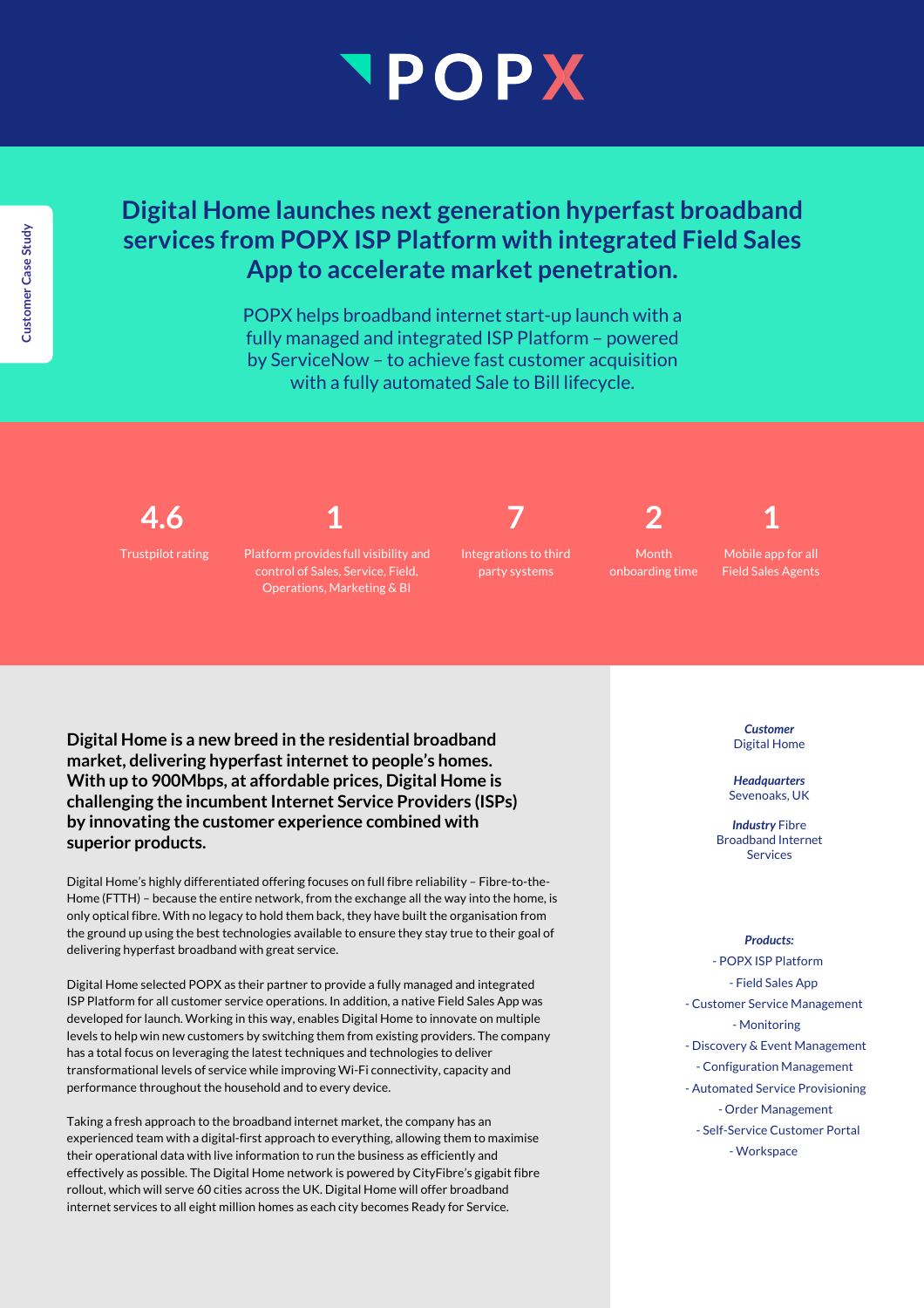# POPX

# **Digital Home launches next generation hyperfast broadband services from POPX ISP Platform with integrated Field Sales App to accelerate market penetration.**

POPX helps broadband internet start-up launch with a fully managed and integrated ISP Platform – powered by ServiceNow – to achieve fast customer acquisition with a fully automated Sale to Bill lifecycle.

**4.6**

Trustpilot rating

Platform provides full visibility and control of Sales, Service, Field, Operations, Marketing & BI

**1**

**7** Integrations to third party systems

**2**

Month onboarding time

Mobile app for all Field Sales Agents

**1**

**Digital Home is a new breed in the residential broadband market, delivering hyperfast internet to people's homes. With up to 900Mbps, at affordable prices, Digital Home is**  challenging the incumbent Internet Service Providers (ISPs) **by innovating the customer experience combined with superior products.**

Digital Home's highly differentiated offering focuses on full fibre reliability – Fibre-to-the-Home (FTTH) – because the entire network, from the exchange all the way into the home, is only optical fibre. With no legacy to hold them back, they have built the organisation from the ground up using the best technologies available to ensure they stay true to their goal of delivering hyperfast broadband with great service.

Digital Home selected POPX as their partner to provide a fully managed and integrated ISP Platform for all customer service operations. In addition, a native Field Sales App was developed for launch. Working in this way, enables Digital Home to innovate on multiple levels to help win new customers by switching them from existing providers. The company has a total focus on leveraging the latest techniques and technologies to deliver transformational levels of service while improving Wi-Fi connectivity, capacity and performance throughout the household and to every device.

Taking a fresh approach to the broadband internet market, the company has an experienced team with a digital-first approach to everything, allowing them to maximise their operational data with live information to run the business as efficiently and effectively as possible. The Digital Home network is powered by CityFibre's gigabit fibre rollout, which will serve 60 cities across the UK. Digital Home will offer broadband internet services to all eight million homes as each city becomes Ready for Service.

*Customer* Digital Home

*Headquarters* Sevenoaks, UK

*Industry* Fibre Broadband Internet Services

#### *Products:*

- POPX ISP Platform - Field Sales App - Customer Service Management - Monitoring - Discovery & Event Management - Configuration Management - Automated Service Provisioning - Order Management - Self-Service Customer Portal - Workspace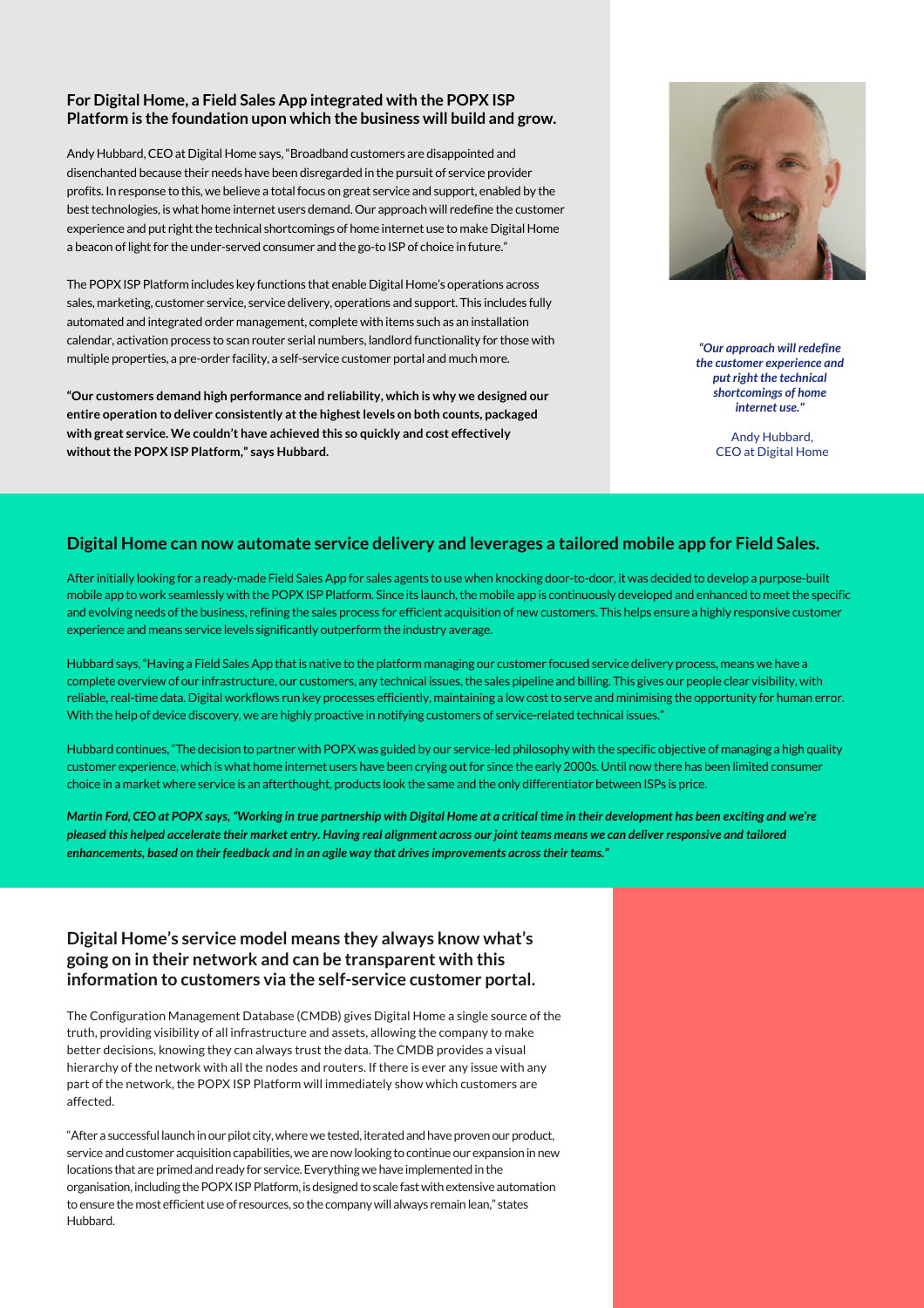#### **For Digital Home, a Field Sales App integrated with the POPX ISP Platform is the foundation upon which the business will build and grow.**

Andy Hubbard, CEO at Digital Home says, "Broadband customers are disappointed and disenchanted because their needs have been disregarded in the pursuit of service provider profits. In response to this, we believe a total focus on great service and support, enabled by the best technologies, is what home internet users demand. Our approach will redefine the customer experience and put right the technical shortcomings of home internet use to make Digital Home a beacon of light for the under-served consumer and the go-to ISP of choice in future."

The POPX ISP Platform includes key functions that enable Digital Home's operations across sales, marketing, customer service, service delivery, operations and support. This includes fully automated and integrated order management, complete with items such as an installation calendar, activation process to scan router serial numbers, landlord functionality for those with multiple properties, a pre-order facility, a self-service customer portal and much more.

**"Our customers demand high performance and reliability, which is why we designed our entire operation to deliver consistently at the highest levels on both counts, packaged with great service. We couldn't have achieved this so quickly and cost effectively without the POPX ISP Platform," says Hubbard.**



*"Our approach will redefine the customer experience and put right the technical shortcomings of home internet use."*

> Andy Hubbard, CEO at Digital Home

#### **Digital Home can now automate service delivery and leverages a tailored mobile app for Field Sales.**

After initially looking for a ready-made Field Sales App for sales agents to use when knocking door-to-door, it was decided to develop a purpose-built mobile app to work seamlessly with the POPX ISP Platform. Since its launch, the mobile app is continuously developed and enhanced to meet the specific and evolving needs of the business, refining the sales process for efficient acquisition of new customers. This helps ensure a highly responsive customer experience and means service levels significantly outperform the industry average.

Hubbard says, "Having a Field Sales App that is native to the platform managing our customer focused service delivery process, means we have a complete overview of our infrastructure, our customers, any technical issues, the sales pipeline and billing. This gives our people clear visibility, with reliable, real-time data. Digital workflows run key processes efficiently, maintaining a low cost to serve and minimising the opportunity for human error. With the help of device discovery, we are highly proactive in notifying customers of service-related technical issues."

Hubbard continues, "The decision to partner with POPX was guided by our service-led philosophy with the specific objective of managing a high quality customer experience, which is what home internet users have been crying out for since the early 2000s. Until now there has been limited consumer choice in a market where service is an afterthought, products look the same and the only differentiator between ISPs is price.

*Martin Ford, CEO at POPX says, "Working in true partnership with Digital Home at a critical time in their development has been exciting and we're pleased this helped accelerate their market entry. Having real alignment across our joint teams means we can deliver responsive and tailored enhancements, based on their feedback and in an agile way that drives improvements across their teams."*

### **Digital Home's service model means they always know what's going on in their network and can be transparent with this information to customers via the self-service customer portal.**

The Configuration Management Database (CMDB) gives Digital Home a single source of the truth, providing visibility of all infrastructure and assets, allowing the company to make better decisions, knowing they can always trust the data. The CMDB provides a visual hierarchy of the network with all the nodes and routers. If there is ever any issue with any part of the network, the POPX ISP Platform will immediately show which customers are affected.

"After a successful launch in our pilot city, where we tested, iterated and have proven our product, service and customer acquisition capabilities, we are now looking to continue our expansion in new locations that are primed and ready for service. Everything we have implemented in the organisation, including the POPX ISP Platform, is designed to scale fast with extensive automation to ensure the most efficient use of resources, so the company will always remain lean," states Hubbard.